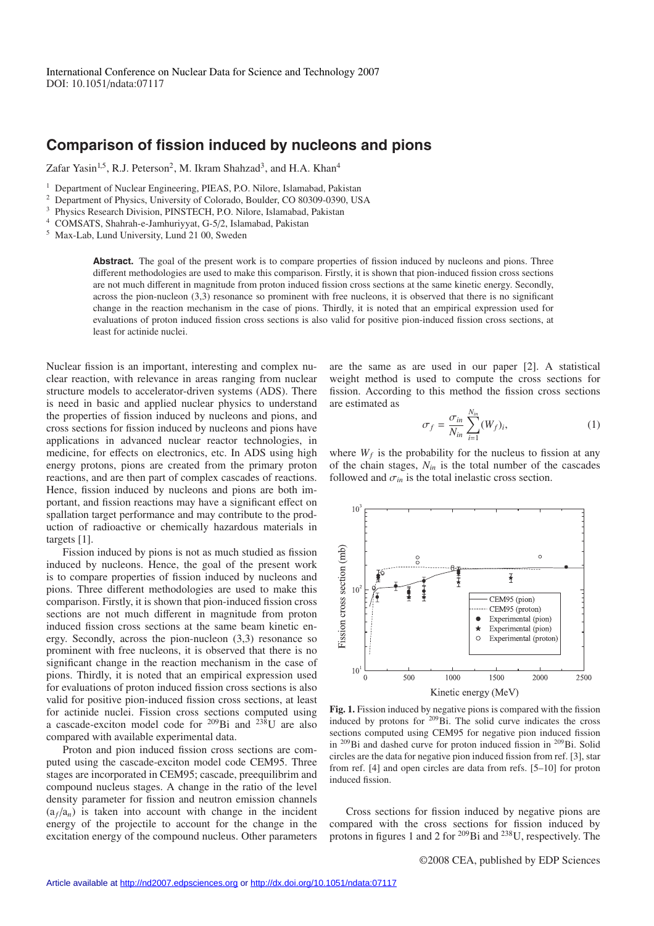## **Comparison of fission induced by nucleons and pions**

Zafar Yasin<sup>1,5</sup>, R.J. Peterson<sup>2</sup>, M. Ikram Shahzad<sup>3</sup>, and H.A. Khan<sup>4</sup>

- <sup>4</sup> COMSATS, Shahrah-e-Jamhuriyyat, G-5/2, Islamabad, Pakistan
- <sup>5</sup> Max-Lab, Lund University, Lund 21 00, Sweden

Abstract. The goal of the present work is to compare properties of fission induced by nucleons and pions. Three different methodologies are used to make this comparison. Firstly, it is shown that pion-induced fission cross sections are not much different in magnitude from proton induced fission cross sections at the same kinetic energy. Secondly, across the pion-nucleon (3,3) resonance so prominent with free nucleons, it is observed that there is no significant change in the reaction mechanism in the case of pions. Thirdly, it is noted that an empirical expression used for evaluations of proton induced fission cross sections is also valid for positive pion-induced fission cross sections, at least for actinide nuclei.

Nuclear fission is an important, interesting and complex nuclear reaction, with relevance in areas ranging from nuclear structure models to accelerator-driven systems (ADS). There is need in basic and applied nuclear physics to understand the properties of fission induced by nucleons and pions, and cross sections for fission induced by nucleons and pions have applications in advanced nuclear reactor technologies, in medicine, for effects on electronics, etc. In ADS using high energy protons, pions are created from the primary proton reactions, and are then part of complex cascades of reactions. Hence, fission induced by nucleons and pions are both important, and fission reactions may have a significant effect on spallation target performance and may contribute to the production of radioactive or chemically hazardous materials in targets [1].

Fission induced by pions is not as much studied as fission induced by nucleons. Hence, the goal of the present work is to compare properties of fission induced by nucleons and pions. Three different methodologies are used to make this comparison. Firstly, it is shown that pion-induced fission cross sections are not much different in magnitude from proton induced fission cross sections at the same beam kinetic energy. Secondly, across the pion-nucleon (3,3) resonance so prominent with free nucleons, it is observed that there is no significant change in the reaction mechanism in the case of pions. Thirdly, it is noted that an empirical expression used for evaluations of proton induced fission cross sections is also valid for positive pion-induced fission cross sections, at least for actinide nuclei. Fission cross sections computed using a cascade-exciton model code for  $^{209}$ Bi and  $^{238}$ U are also compared with available experimental data.

Proton and pion induced fission cross sections are computed using the cascade-exciton model code CEM95. Three stages are incorporated in CEM95; cascade, preequilibrim and compound nucleus stages. A change in the ratio of the level density parameter for fission and neutron emission channels  $(a_f/a_n)$  is taken into account with change in the incident energy of the projectile to account for the change in the excitation energy of the compound nucleus. Other parameters

are the same as are used in our paper [2]. A statistical weight method is used to compute the cross sections for fission. According to this method the fission cross sections are estimated as

$$
\sigma_f = \frac{\sigma_{in}}{N_{in}} \sum_{i=1}^{N_{in}} (W_f)_i,
$$
\n(1)

where  $W_f$  is the probability for the nucleus to fission at any of the chain stages,  $N_{in}$  is the total number of the cascades followed and  $\sigma_{in}$  is the total inelastic cross section.



**Fig. 1.** Fission induced by negative pions is compared with the fission induced by protons for 209Bi. The solid curve indicates the cross sections computed using CEM95 for negative pion induced fission in  $^{209}$ Bi and dashed curve for proton induced fission in  $^{209}$ Bi. Solid circles are the data for negative pion induced fission from ref. [3], star from ref. [4] and open circles are data from refs. [5–10] for proton induced fission.

Cross sections for fission induced by negative pions are compared with the cross sections for fission induced by protons in figures 1 and 2 for 209Bi and 238U, respectively. The

<sup>&</sup>lt;sup>1</sup> Department of Nuclear Engineering, PIEAS, P.O. Nilore, Islamabad, Pakistan<br><sup>2</sup> Department of Physics, University of Colorado, Boulder, CO 80300, 0300, US

<sup>&</sup>lt;sup>2</sup> Department of Physics, University of Colorado, Boulder, CO 80309-0390, USA<br><sup>3</sup> Physics Passarch Division, PINSTECH, P.O. Nilora Jelamabad, Pakistan

<sup>3</sup> Physics Research Division, PINSTECH, P.O. Nilore, Islamabad, Pakistan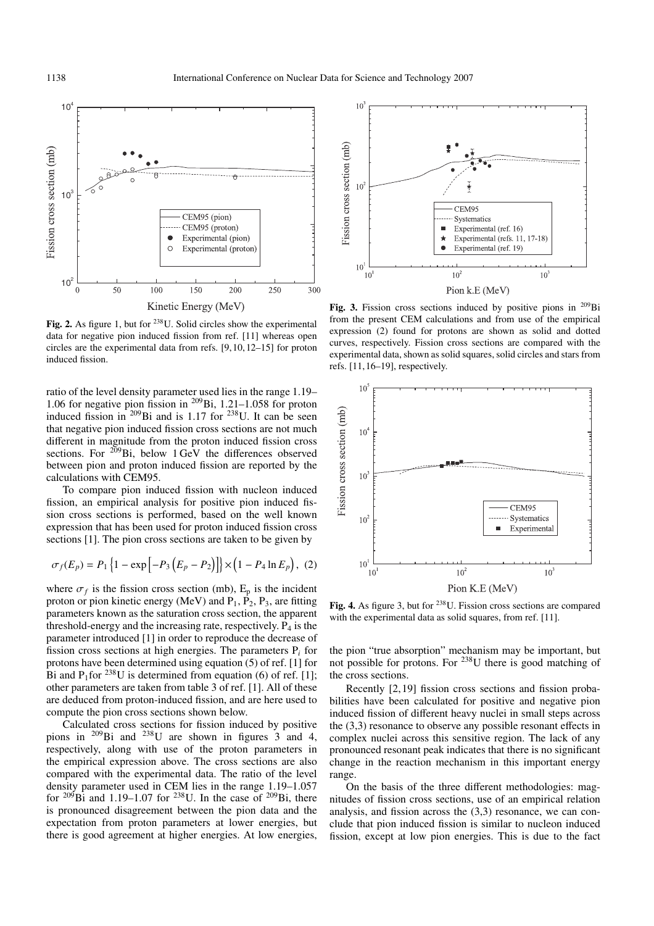

**Fig. 2.** As figure 1, but for <sup>238</sup>U. Solid circles show the experimental data for negative pion induced fission from ref. [11] whereas open circles are the experimental data from refs. [9, 10, 12–15] for proton induced fission.

ratio of the level density parameter used lies in the range 1.19– 1.06 for negative pion fission in  $^{209}$ Bi, 1.21–1.058 for proton induced fission in  $209\,\text{Bi}$  and is 1.17 for  $238\,\text{U}$ . It can be seen that negative pion induced fission cross sections are not much different in magnitude from the proton induced fission cross sections. For  $^{209}$ Bi, below 1 GeV the differences observed between pion and proton induced fission are reported by the calculations with CEM95.

To compare pion induced fission with nucleon induced fission, an empirical analysis for positive pion induced fission cross sections is performed, based on the well known expression that has been used for proton induced fission cross sections [1]. The pion cross sections are taken to be given by

$$
\sigma_f(E_p) = P_1 \left\{ 1 - \exp \left[ -P_3 \left( E_p - P_2 \right) \right] \right\} \times \left( 1 - P_4 \ln E_p \right), (2)
$$

where  $\sigma_f$  is the fission cross section (mb),  $E_p$  is the incident proton or pion kinetic energy (MeV) and  $P_1$ ,  $P_2$ ,  $P_3$ , are fitting parameters known as the saturation cross section, the apparent threshold-energy and the increasing rate, respectively.  $P_4$  is the parameter introduced [1] in order to reproduce the decrease of fission cross sections at high energies. The parameters P*<sup>i</sup>* for protons have been determined using equation (5) of ref. [1] for Bi and P<sub>1</sub>for <sup>238</sup>U is determined from equation (6) of ref. [1]; other parameters are taken from table 3 of ref. [1]. All of these are deduced from proton-induced fission, and are here used to compute the pion cross sections shown below.

Calculated cross sections for fission induced by positive pions in  $209\text{Bi}$  and  $238\text{U}$  are shown in figures  $3$  and 4, respectively, along with use of the proton parameters in the empirical expression above. The cross sections are also compared with the experimental data. The ratio of the level density parameter used in CEM lies in the range 1.19–1.057 for  $^{209}$ Bi and 1.19–1.07 for  $^{238}$ U. In the case of  $^{209}$ Bi, there is pronounced disagreement between the pion data and the expectation from proton parameters at lower energies, but there is good agreement at higher energies. At low energies,



Fig. 3. Fission cross sections induced by positive pions in <sup>209</sup>Bi from the present CEM calculations and from use of the empirical expression (2) found for protons are shown as solid and dotted curves, respectively. Fission cross sections are compared with the experimental data, shown as solid squares, solid circles and stars from refs. [11, 16–19], respectively.



**Fig. 4.** As figure 3, but for 238U. Fission cross sections are compared with the experimental data as solid squares, from ref. [11].

the pion "true absorption" mechanism may be important, but not possible for protons. For 238U there is good matching of the cross sections.

Recently [2, 19] fission cross sections and fission probabilities have been calculated for positive and negative pion induced fission of different heavy nuclei in small steps across the (3,3) resonance to observe any possible resonant effects in complex nuclei across this sensitive region. The lack of any pronounced resonant peak indicates that there is no significant change in the reaction mechanism in this important energy range.

On the basis of the three different methodologies: magnitudes of fission cross sections, use of an empirical relation analysis, and fission across the (3,3) resonance, we can conclude that pion induced fission is similar to nucleon induced fission, except at low pion energies. This is due to the fact